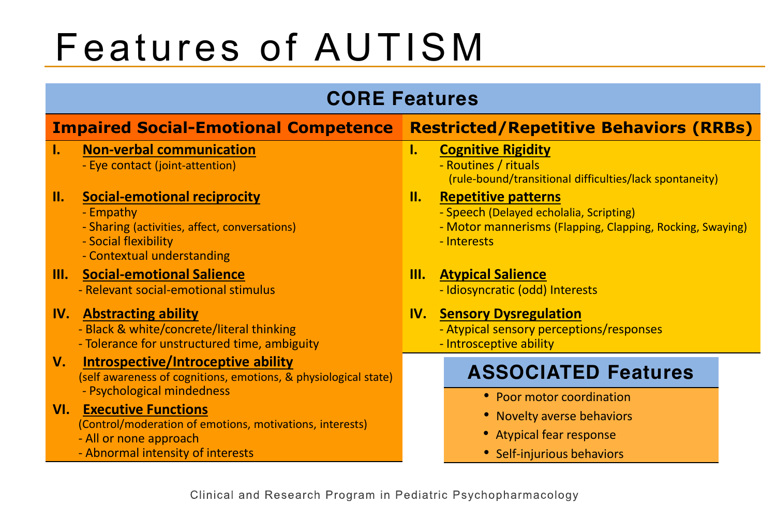# Features of AUTISM

### **CORE Features**

#### **Impaired Social-Emotional Competence Restricted/Repetitive Behaviors (RRBs) I. Non-verbal communication** - Eye contact (joint-attention) **I. Cognitive Rigidity** - Routines / rituals (rule-bound/transitional difficulties/lack spontaneity) **II. Social-emotional reciprocity** - Empathy - Sharing (activities, affect, conversations) - Social flexibility - Contextual understanding **II. Repetitive patterns** - Speech (Delayed echolalia, Scripting) - Motor mannerisms (Flapping, Clapping, Rocking, Swaying) - Interests **III. Social-emotional Salience** - Relevant social-emotional stimulus **III. Atypical Salience** - Idiosyncratic (odd) Interests **IV. Abstracting ability** - Black & white/concrete/literal thinking - Tolerance for unstructured time, ambiguity **IV. Sensory Dysregulation** - Atypical sensory perceptions/responses - Introsceptive ability **V. Introspective/Introceptive ability** (self awareness of cognitions, emotions, & physiological state) - Psychological mindedness **VI. Executive Functions** (Control/moderation of emotions, motivations, interests) - All or none approach - Abnormal intensity of interests **ASSOCIATED Features** • Poor motor coordination • Novelty averse behaviors • Atypical fear response • Self-injurious behaviors

Clinical and Research Program in Pediatric Psychopharmacology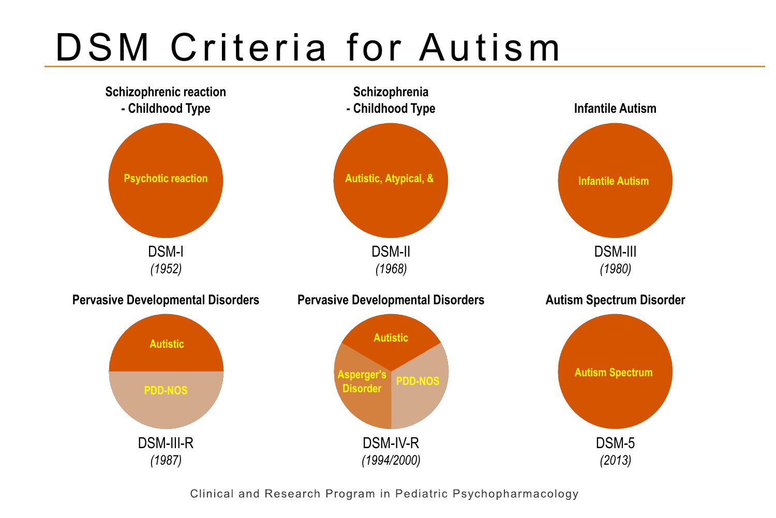# DSM Criteria for Autism



Clinical and Research Program in Pediatric Psychopharmacology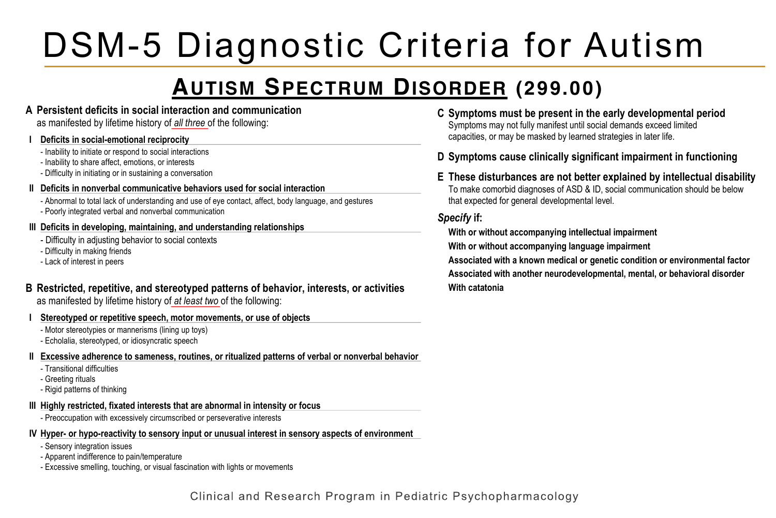#### **III Highly restricted, fixated interests that are abnormal in intensity or focus** - Preoccupation with excessively circumscribed or perseverative interests DSM-5 Diagnostic Criteria for Autism

#### **AUTISM SPECTRUM DISORDER (299.00)**  $\overline{a}$  and  $\overline{b}$  in an indicature to  $\overline{a}$ <u>ndln</u> (299.00*)* smelling

**A Persistent deficits in social interaction and communication**

as manifested by lifetime history of **all three** of the following:

#### **I Deficits in social-emotional reciprocity**

- Inability to initiate or respond to social interactions
- Inability to share affect, emotions, or interests
- Difficulty in initiating or in sustaining a conversation

#### **II Deficits in nonverbal communicative behaviors used for social interaction**

- Abnormal to total lack of understanding and use of eye contact, affect, body language, and gestures
- Poorly integrated verbal and nonverbal communication

#### **III Deficits in developing, maintaining, and understanding relationships**

- Difficulty in adjusting behavior to social contexts
- Difficulty in making friends
- Lack of interest in peers
- **B Restricted, repetitive, and stereotyped patterns of behavior, interests, or activities** as manifested by lifetime history of *at least two* of the following: **\_\_\_\_\_\_\_\_**
- **I Stereotyped or repetitive speech, motor movements, or use of objects**
	- Motor stereotypies or mannerisms (lining up toys)
	- Echolalia, stereotyped, or idiosyncratic speech
- **II Excessive adherence to sameness, routines, or ritualized patterns of verbal or nonverbal behavior**
	- Transitional difficulties
	- Greeting rituals
	- Rigid patterns of thinking

#### **III Highly restricted, fixated interests that are abnormal in intensity or focus**

- Preoccupation with excessively circumscribed or perseverative interests

#### **IV Hyper- or hypo-reactivity to sensory input or unusual interest in sensory aspects of environment**

- Sensory integration issues
- Apparent indifference to pain/temperature
- Excessive smelling, touching, or visual fascination with lights or movements
- **C Symptoms must be present in the early developmental period** Symptoms may not fully manifest until social demands exceed limited capacities, or may be masked by learned strategies in later life.
- **D Symptoms cause clinically significant impairment in functioning**
- **E These disturbances are not better explained by intellectual disability** To make comorbid diagnoses of ASD & ID, social communication should be below that expected for general developmental level.

#### *Specify* **if:**

**With or without accompanying intellectual impairment With or without accompanying language impairment Associated with a known medical or genetic condition or environmental factor Associated with another neurodevelopmental, mental, or behavioral disorder With catatonia**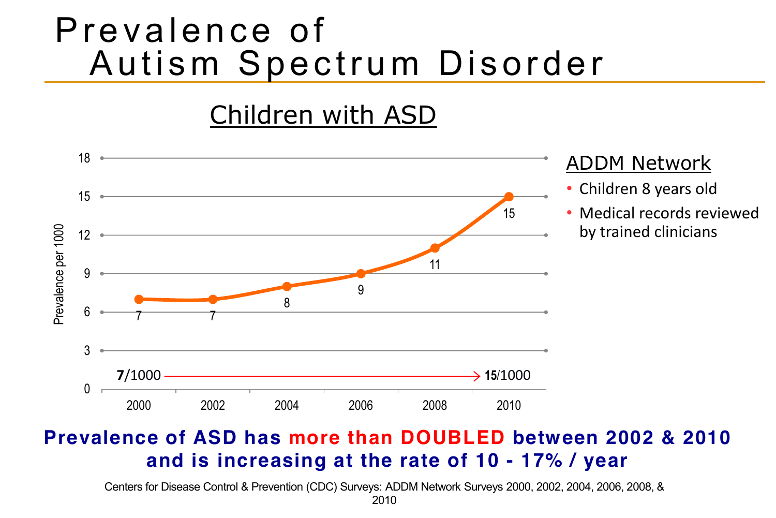## Prevalence of Autism Spectrum Disorder

## Children with ASD



### **Prevalence of ASD has more than DOUBLED between 2002 & 2010 and is increasing at the rate of 10 - 17% / year**

Centers for Disease Control & Prevention (CDC) Surveys: ADDM Network Surveys 2000, 2002, 2004, 2006, 2008, &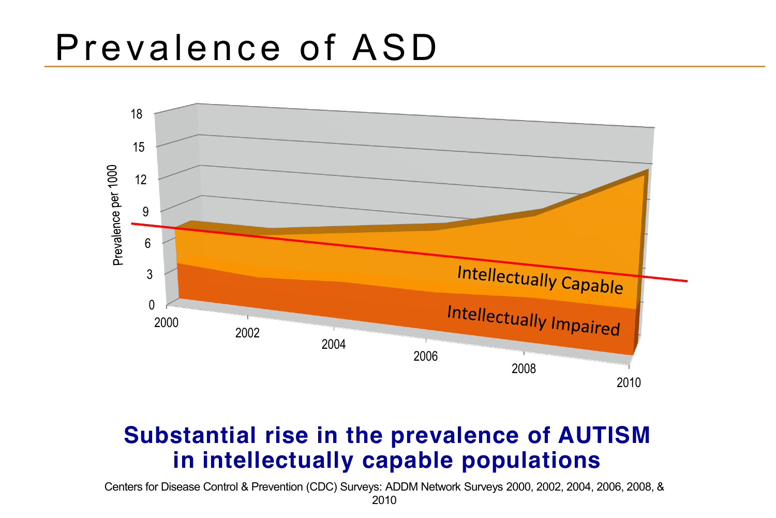## Prevalence of ASD



### **Substantial rise in the prevalence of AUTISM in intellectually capable populations**

Centers for Disease Control & Prevention (CDC) Surveys: ADDM Network Surveys 2000, 2002, 2004, 2006, 2008, &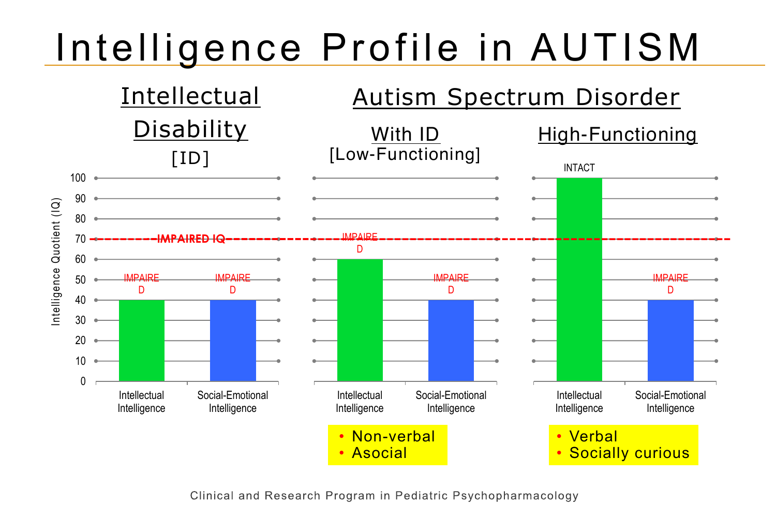# Intelligence Profile in AUTISM



Clinical and Research Program in Pediatric Psychopharmacology